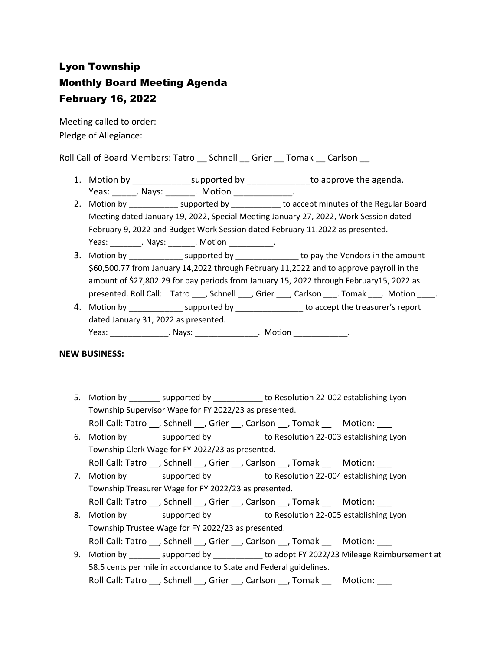# Lyon Township Monthly Board Meeting Agenda February 16, 2022

Meeting called to order: Pledge of Allegiance:

Roll Call of Board Members: Tatro \_\_ Schnell \_\_ Grier \_\_ Tomak \_\_ Carlson \_\_

- 1. Motion by \_\_\_\_\_\_\_\_\_\_\_\_\_\_\_supported by \_\_\_\_\_\_\_\_\_\_\_\_\_\_\_to approve the agenda. Yeas: Nays: Notion Reas: Notion
- 2. Motion by \_\_\_\_\_\_\_\_\_\_\_\_\_ supported by \_\_\_\_\_\_\_\_\_\_\_ to accept minutes of the Regular Board Meeting dated January 19, 2022, Special Meeting January 27, 2022, Work Session dated February 9, 2022 and Budget Work Session dated February 11.2022 as presented. Yeas: The Mays: All Motion All Motion All Motion All Motion All Motion All Motion All Motion All Motion All Mo
- 3. Motion by \_\_\_\_\_\_\_\_\_\_\_\_\_\_\_ supported by \_\_\_\_\_\_\_\_\_\_\_\_\_\_\_\_\_ to pay the Vendors in the amount \$60,500.77 from January 14,2022 through February 11,2022 and to approve payroll in the amount of \$27,802.29 for pay periods from January 15, 2022 through February15, 2022 as presented. Roll Call: Tatro \_\_\_, Schnell \_\_\_, Grier \_\_\_, Carlson \_\_\_. Tomak \_\_\_. Motion \_\_\_\_.
- 4. Motion by \_\_\_\_\_\_\_\_\_\_\_\_\_\_\_ supported by \_\_\_\_\_\_\_\_\_\_\_\_\_\_\_\_\_\_ to accept the treasurer's report dated January 31, 2022 as presented. Yeas: \_\_\_\_\_\_\_\_\_\_\_\_\_\_\_\_\_. Nays: \_\_\_\_\_\_\_\_\_\_\_\_\_\_\_\_\_. Motion \_\_\_\_\_\_\_\_\_\_\_\_\_\_\_.

### **NEW BUSINESS:**

- 5. Motion by \_\_\_\_\_\_\_\_ supported by \_\_\_\_\_\_\_\_\_\_\_ to Resolution 22-002 establishing Lyon Township Supervisor Wage for FY 2022/23 as presented.
	- Roll Call: Tatro \_\_, Schnell \_\_, Grier \_\_, Carlson \_\_, Tomak \_\_ Motion: \_\_\_
- 6. Motion by \_\_\_\_\_\_\_ supported by \_\_\_\_\_\_\_\_\_\_\_ to Resolution 22-003 establishing Lyon Township Clerk Wage for FY 2022/23 as presented.
- Roll Call: Tatro \_\_, Schnell \_\_, Grier \_\_, Carlson \_\_, Tomak \_\_ Motion: \_\_\_ 7. Motion by supported by to Resolution 22-004 establishing Lyon
- Township Treasurer Wage for FY 2022/23 as presented. Roll Call: Tatro , Schnell , Grier , Carlson , Tomak Motion:
- 8. Motion by example to Resolution 22-005 establishing Lyon Township Trustee Wage for FY 2022/23 as presented.
- Roll Call: Tatro \_\_, Schnell \_\_, Grier \_\_, Carlson \_\_, Tomak \_\_ Motion: \_\_\_
- 9. Motion by \_\_\_\_\_\_\_\_ supported by \_\_\_\_\_\_\_\_\_\_\_ to adopt FY 2022/23 Mileage Reimbursement at 58.5 cents per mile in accordance to State and Federal guidelines. Roll Call: Tatro \_\_, Schnell \_\_, Grier \_\_, Carlson \_\_, Tomak \_\_ Motion: \_\_\_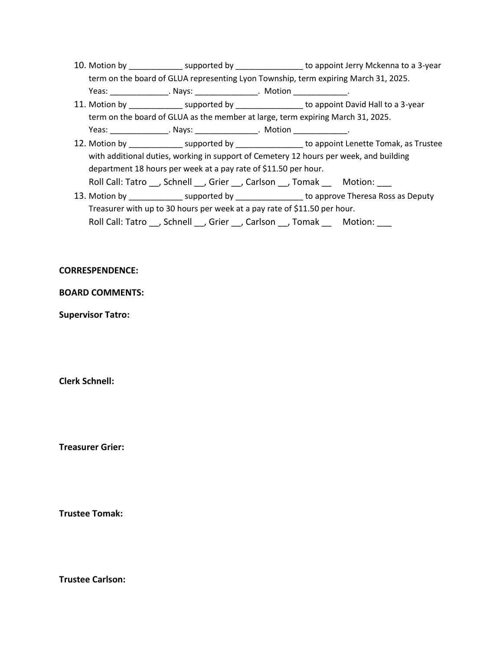- 10. Motion by \_\_\_\_\_\_\_\_\_\_\_\_\_\_\_ supported by \_\_\_\_\_\_\_\_\_\_\_\_\_\_\_\_ to appoint Jerry Mckenna to a 3-year term on the board of GLUA representing Lyon Township, term expiring March 31, 2025. Yeas: \_\_\_\_\_\_\_\_\_\_\_\_\_\_\_\_. Nays: \_\_\_\_\_\_\_\_\_\_\_\_\_\_\_\_. Motion \_\_\_\_\_\_\_\_\_\_\_\_\_\_.
- 11. Motion by example by the supported by the support of appoint David Hall to a 3-year term on the board of GLUA as the member at large, term expiring March 31, 2025. Yeas: \_\_\_\_\_\_\_\_\_\_\_\_\_\_\_\_\_. Nays: \_\_\_\_\_\_\_\_\_\_\_\_\_\_\_\_\_. Motion \_\_\_\_\_\_\_\_\_\_\_\_\_\_\_.
- 12. Motion by \_\_\_\_\_\_\_\_\_\_\_\_\_\_ supported by \_\_\_\_\_\_\_\_\_\_\_\_\_\_\_\_\_ to appoint Lenette Tomak, as Trustee with additional duties, working in support of Cemetery 12 hours per week, and building department 18 hours per week at a pay rate of \$11.50 per hour. Roll Call: Tatro \_\_, Schnell \_\_, Grier \_\_, Carlson \_\_, Tomak \_\_ Motion: \_\_\_
- 13. Motion by \_\_\_\_\_\_\_\_\_\_\_\_\_\_ supported by \_\_\_\_\_\_\_\_\_\_\_\_\_\_\_\_\_ to approve Theresa Ross as Deputy Treasurer with up to 30 hours per week at a pay rate of \$11.50 per hour. Roll Call: Tatro , Schnell , Grier , Carlson , Tomak Motion:

#### **CORRESPENDENCE:**

#### **BOARD COMMENTS:**

**Supervisor Tatro:**

**Clerk Schnell:** 

**Treasurer Grier:**

**Trustee Tomak:**

**Trustee Carlson:**